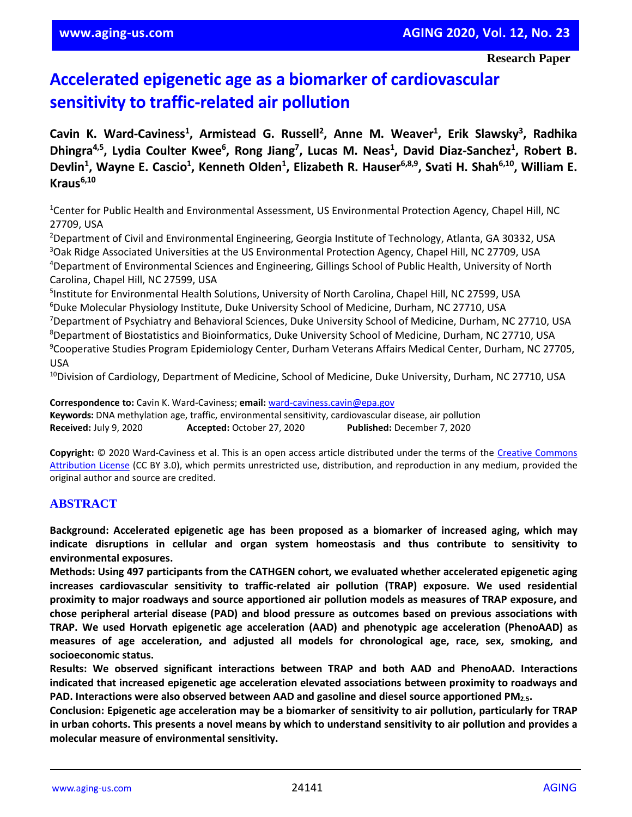# **Accelerated epigenetic age as a biomarker of cardiovascular sensitivity to traffic-related air pollution**

Cavin K. Ward-Caviness<sup>1</sup>, Armistead G. Russell<sup>2</sup>, Anne M. Weaver<sup>1</sup>, Erik Slawsky<sup>3</sup>, Radhika Dhingra<sup>4,5</sup>, Lydia Coulter Kwee<sup>6</sup>, Rong Jiang<sup>7</sup>, Lucas M. Neas<sup>1</sup>, David Diaz-Sanchez<sup>1</sup>, Robert B. Devlin<sup>1</sup>, Wayne E. Cascio<sup>1</sup>, Kenneth Olden<sup>1</sup>, Elizabeth R. Hauser<sup>6,8,9</sup>, Svati H. Shah<sup>6,10</sup>, William E. **Kraus6,10**

<sup>1</sup>Center for Public Health and Environmental Assessment, US Environmental Protection Agency, Chapel Hill, NC 27709, USA

<sup>2</sup>Department of Civil and Environmental Engineering, Georgia Institute of Technology, Atlanta, GA 30332, USA <sup>3</sup>Oak Ridge Associated Universities at the US Environmental Protection Agency, Chapel Hill, NC 27709, USA <sup>4</sup>Department of Environmental Sciences and Engineering, Gillings School of Public Health, University of North Carolina, Chapel Hill, NC 27599, USA

 Institute for Environmental Health Solutions, University of North Carolina, Chapel Hill, NC 27599, USA Duke Molecular Physiology Institute, Duke University School of Medicine, Durham, NC 27710, USA Department of Psychiatry and Behavioral Sciences, Duke University School of Medicine, Durham, NC 27710, USA Department of Biostatistics and Bioinformatics, Duke University School of Medicine, Durham, NC 27710, USA

<sup>9</sup>Cooperative Studies Program Epidemiology Center, Durham Veterans Affairs Medical Center, Durham, NC 27705, USA

<sup>10</sup>Division of Cardiology, Department of Medicine, School of Medicine, Duke University, Durham, NC 27710, USA

**Correspondence to:** Cavin K. Ward-Caviness; **email:** [ward-caviness.cavin@epa.gov](mailto:ward-caviness.cavin@epa.gov) **Keywords:** DNA methylation age, traffic, environmental sensitivity, cardiovascular disease, air pollution **Received:** July 9, 2020 **Accepted:** October 27, 2020 **Published:** December 7, 2020

**Copyright:** © 2020 Ward-Caviness et al. This is an open access article distributed under the terms of the [Creative Commons](https://creativecommons.org/licenses/by/3.0/)  [Attribution License](https://creativecommons.org/licenses/by/3.0/) (CC BY 3.0), which permits unrestricted use, distribution, and reproduction in any medium, provided the original author and source are credited.

#### **ABSTRACT**

**Background: Accelerated epigenetic age has been proposed as a biomarker of increased aging, which may indicate disruptions in cellular and organ system homeostasis and thus contribute to sensitivity to environmental exposures.**

**Methods: Using 497 participants from the CATHGEN cohort, we evaluated whether accelerated epigenetic aging increases cardiovascular sensitivity to traffic-related air pollution (TRAP) exposure. We used residential proximity to major roadways and source apportioned air pollution models as measures of TRAP exposure, and chose peripheral arterial disease (PAD) and blood pressure as outcomes based on previous associations with TRAP. We used Horvath epigenetic age acceleration (AAD) and phenotypic age acceleration (PhenoAAD) as measures of age acceleration, and adjusted all models for chronological age, race, sex, smoking, and socioeconomic status.**

**Results: We observed significant interactions between TRAP and both AAD and PhenoAAD. Interactions indicated that increased epigenetic age acceleration elevated associations between proximity to roadways and PAD. Interactions were also observed between AAD and gasoline and diesel source apportioned PM2.5.**

Conclusion: Epigenetic age acceleration may be a biomarker of sensitivity to air pollution, particularly for TRAP in urban cohorts. This presents a novel means by which to understand sensitivity to air pollution and provides a **molecular measure of environmental sensitivity.**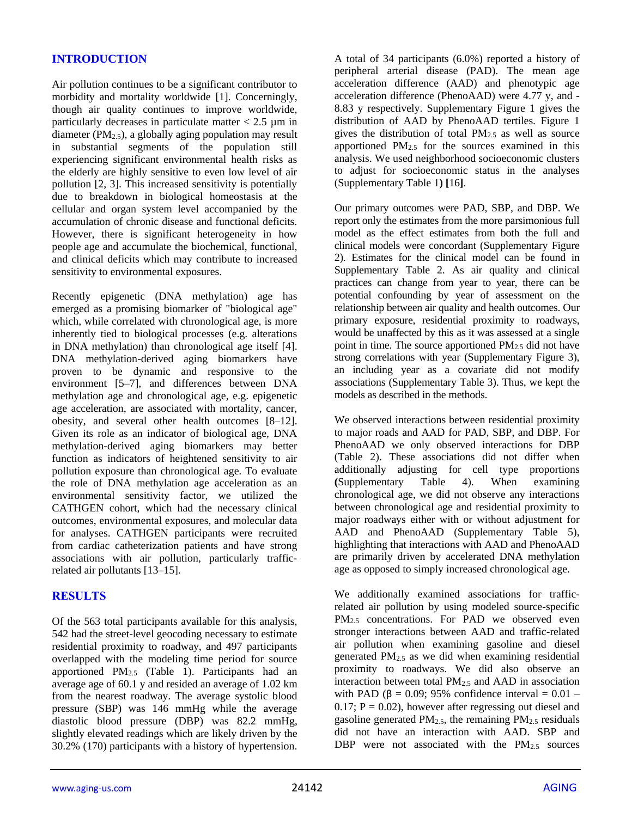# **INTRODUCTION**

Air pollution continues to be a significant contributor to morbidity and mortality worldwide [1]. Concerningly, though air quality continues to improve worldwide, particularly decreases in particulate matter  $< 2.5 \mu m$  in diameter ( $PM_{2.5}$ ), a globally aging population may result in substantial segments of the population still experiencing significant environmental health risks as the elderly are highly sensitive to even low level of air pollution [2, 3]. This increased sensitivity is potentially due to breakdown in biological homeostasis at the cellular and organ system level accompanied by the accumulation of chronic disease and functional deficits. However, there is significant heterogeneity in how people age and accumulate the biochemical, functional, and clinical deficits which may contribute to increased sensitivity to environmental exposures.

Recently epigenetic (DNA methylation) age has emerged as a promising biomarker of "biological age" which, while correlated with chronological age, is more inherently tied to biological processes (e.g. alterations in DNA methylation) than chronological age itself [4]. DNA methylation-derived aging biomarkers have proven to be dynamic and responsive to the environment [5–7], and differences between DNA methylation age and chronological age, e.g. epigenetic age acceleration, are associated with mortality, cancer, obesity, and several other health outcomes [8–12]. Given its role as an indicator of biological age, DNA methylation-derived aging biomarkers may better function as indicators of heightened sensitivity to air pollution exposure than chronological age. To evaluate the role of DNA methylation age acceleration as an environmental sensitivity factor, we utilized the CATHGEN cohort, which had the necessary clinical outcomes, environmental exposures, and molecular data for analyses. CATHGEN participants were recruited from cardiac catheterization patients and have strong associations with air pollution, particularly trafficrelated air pollutants [13–15].

# **RESULTS**

Of the 563 total participants available for this analysis, 542 had the street-level geocoding necessary to estimate residential proximity to roadway, and 497 participants overlapped with the modeling time period for source apportioned PM2.5 (Table 1). Participants had an average age of 60.1 y and resided an average of 1.02 km from the nearest roadway. The average systolic blood pressure (SBP) was 146 mmHg while the average diastolic blood pressure (DBP) was 82.2 mmHg, slightly elevated readings which are likely driven by the 30.2% (170) participants with a history of hypertension. A total of 34 participants (6.0%) reported a history of peripheral arterial disease (PAD). The mean age acceleration difference (AAD) and phenotypic age acceleration difference (PhenoAAD) were 4.77 y, and - 8.83 y respectively. Supplementary Figure 1 gives the distribution of AAD by PhenoAAD tertiles. Figure 1 gives the distribution of total  $PM<sub>2.5</sub>$  as well as source apportioned  $PM_{2.5}$  for the sources examined in this analysis. We used neighborhood socioeconomic clusters to adjust for socioeconomic status in the analyses (Supplementary Table 1**) [**16**]**.

Our primary outcomes were PAD, SBP, and DBP. We report only the estimates from the more parsimonious full model as the effect estimates from both the full and clinical models were concordant (Supplementary Figure 2). Estimates for the clinical model can be found in Supplementary Table 2. As air quality and clinical practices can change from year to year, there can be potential confounding by year of assessment on the relationship between air quality and health outcomes. Our primary exposure, residential proximity to roadways, would be unaffected by this as it was assessed at a single point in time. The source apportioned  $PM<sub>2.5</sub>$  did not have strong correlations with year (Supplementary Figure 3), an including year as a covariate did not modify associations (Supplementary Table 3). Thus, we kept the models as described in the methods.

We observed interactions between residential proximity to major roads and AAD for PAD, SBP, and DBP. For PhenoAAD we only observed interactions for DBP (Table 2). These associations did not differ when additionally adjusting for cell type proportions **(**Supplementary Table 4). When examining chronological age, we did not observe any interactions between chronological age and residential proximity to major roadways either with or without adjustment for AAD and PhenoAAD (Supplementary Table 5), highlighting that interactions with AAD and PhenoAAD are primarily driven by accelerated DNA methylation age as opposed to simply increased chronological age.

We additionally examined associations for trafficrelated air pollution by using modeled source-specific PM<sub>2.5</sub> concentrations. For PAD we observed even stronger interactions between AAD and traffic-related air pollution when examining gasoline and diesel generated  $PM<sub>2.5</sub>$  as we did when examining residential proximity to roadways. We did also observe an interaction between total PM2.5 and AAD in association with PAD ( $\beta$  = 0.09; 95% confidence interval = 0.01 –  $0.17$ ;  $P = 0.02$ ), however after regressing out diesel and gasoline generated  $PM<sub>2.5</sub>$ , the remaining  $PM<sub>2.5</sub>$  residuals did not have an interaction with AAD. SBP and DBP were not associated with the  $PM_{2.5}$  sources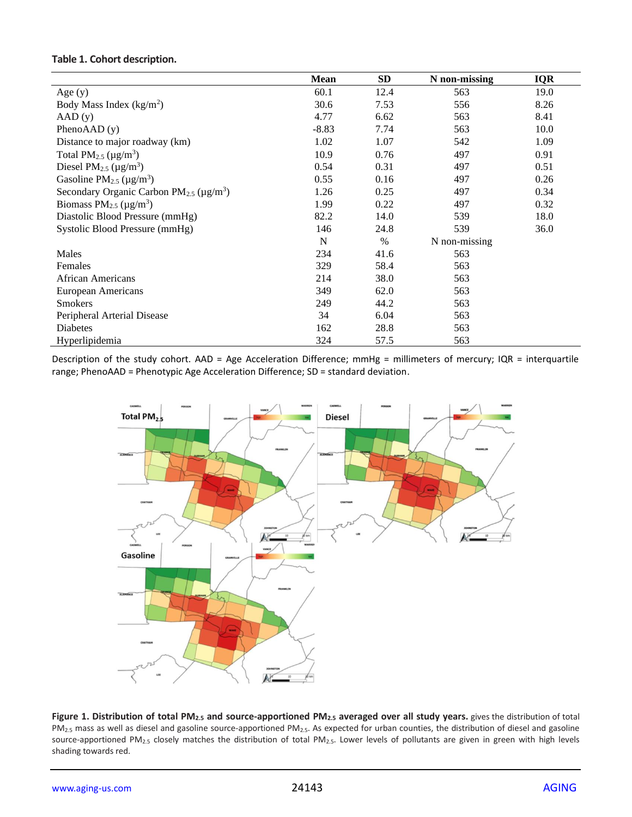## **Table 1. Cohort description.**

|                                                                | Mean    | <b>SD</b> | N non-missing | <b>IQR</b> |
|----------------------------------------------------------------|---------|-----------|---------------|------------|
| Age $(y)$                                                      | 60.1    | 12.4      | 563           | 19.0       |
| Body Mass Index $(kg/m2)$                                      | 30.6    | 7.53      | 556           | 8.26       |
| AAD(y)                                                         | 4.77    | 6.62      | 563           | 8.41       |
| Pheno $AAD(y)$                                                 | $-8.83$ | 7.74      | 563           | 10.0       |
| Distance to major roadway (km)                                 | 1.02    | 1.07      | 542           | 1.09       |
| Total PM <sub>2.5</sub> ( $\mu$ g/m <sup>3</sup> )             | 10.9    | 0.76      | 497           | 0.91       |
| Diesel PM <sub>2.5</sub> ( $\mu$ g/m <sup>3</sup> )            | 0.54    | 0.31      | 497           | 0.51       |
| Gasoline PM <sub>2.5</sub> ( $\mu$ g/m <sup>3</sup> )          | 0.55    | 0.16      | 497           | 0.26       |
| Secondary Organic Carbon $PM_{2.5}$ ( $\mu$ g/m <sup>3</sup> ) | 1.26    | 0.25      | 497           | 0.34       |
| Biomass $PM_{2.5}$ ( $\mu$ g/m <sup>3</sup> )                  | 1.99    | 0.22      | 497           | 0.32       |
| Diastolic Blood Pressure (mmHg)                                | 82.2    | 14.0      | 539           | 18.0       |
| Systolic Blood Pressure (mmHg)                                 | 146     | 24.8      | 539           | 36.0       |
|                                                                | N       | $\%$      | N non-missing |            |
| Males                                                          | 234     | 41.6      | 563           |            |
| Females                                                        | 329     | 58.4      | 563           |            |
| <b>African Americans</b>                                       | 214     | 38.0      | 563           |            |
| European Americans                                             | 349     | 62.0      | 563           |            |
| <b>Smokers</b>                                                 | 249     | 44.2      | 563           |            |
| Peripheral Arterial Disease                                    | 34      | 6.04      | 563           |            |
| <b>Diabetes</b>                                                | 162     | 28.8      | 563           |            |
| Hyperlipidemia                                                 | 324     | 57.5      | 563           |            |

Description of the study cohort. AAD = Age Acceleration Difference; mmHg = millimeters of mercury; IQR = interquartile range; PhenoAAD = Phenotypic Age Acceleration Difference; SD = standard deviation.



**Figure 1. Distribution of total PM2.5 and source-apportioned PM2.5 averaged over all study years.** gives the distribution of total PM<sub>2.5</sub> mass as well as diesel and gasoline source-apportioned PM<sub>2.5</sub>. As expected for urban counties, the distribution of diesel and gasoline source-apportioned PM2.5 closely matches the distribution of total PM2.5. Lower levels of pollutants are given in green with high levels shading towards red.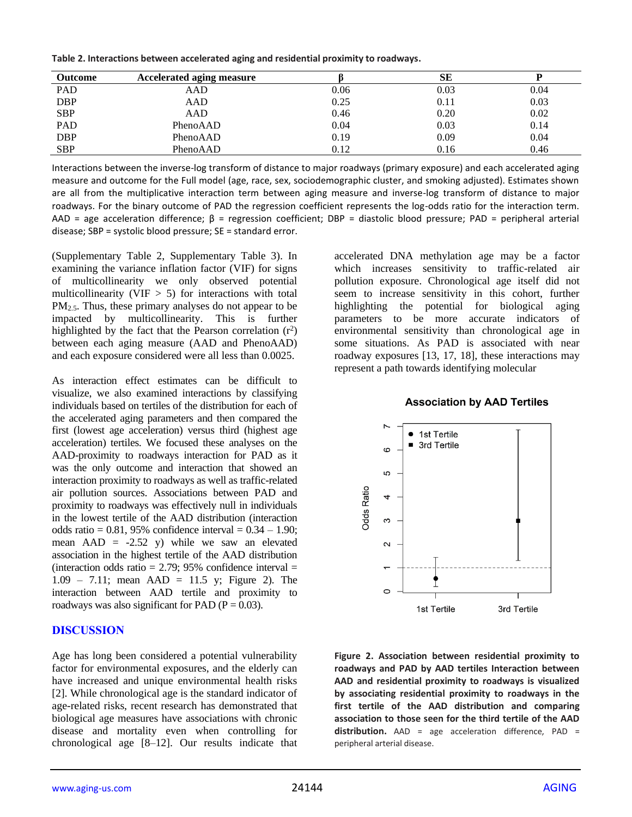**Table 2. Interactions between accelerated aging and residential proximity to roadways.**

| <b>Outcome</b> | Accelerated aging measure |      | SЕ   |      |
|----------------|---------------------------|------|------|------|
| PAD            | AAD                       | 0.06 | 0.03 | 0.04 |
| <b>DBP</b>     | AAD                       | 0.25 | 0.11 | 0.03 |
| <b>SBP</b>     | AAD                       | 0.46 | 0.20 | 0.02 |
| PAD            | PhenoAAD                  | 0.04 | 0.03 | 0.14 |
| <b>DBP</b>     | PhenoAAD                  | 0.19 | 0.09 | 0.04 |
| <b>SBP</b>     | PhenoAAD                  | 0.12 | 0.16 | 0.46 |

Interactions between the inverse-log transform of distance to major roadways (primary exposure) and each accelerated aging measure and outcome for the Full model (age, race, sex, sociodemographic cluster, and smoking adjusted). Estimates shown are all from the multiplicative interaction term between aging measure and inverse-log transform of distance to major roadways. For the binary outcome of PAD the regression coefficient represents the log-odds ratio for the interaction term. AAD = age acceleration difference;  $\beta$  = regression coefficient; DBP = diastolic blood pressure; PAD = peripheral arterial disease; SBP = systolic blood pressure; SE = standard error.

(Supplementary Table 2, Supplementary Table 3). In examining the variance inflation factor (VIF) for signs of multicollinearity we only observed potential multicollinearity (VIF  $> 5$ ) for interactions with total PM<sub>2.5</sub>. Thus, these primary analyses do not appear to be impacted by multicollinearity. This is further highlighted by the fact that the Pearson correlation  $(r^2)$ between each aging measure (AAD and PhenoAAD) and each exposure considered were all less than 0.0025.

As interaction effect estimates can be difficult to visualize, we also examined interactions by classifying individuals based on tertiles of the distribution for each of the accelerated aging parameters and then compared the first (lowest age acceleration) versus third (highest age acceleration) tertiles. We focused these analyses on the AAD-proximity to roadways interaction for PAD as it was the only outcome and interaction that showed an interaction proximity to roadways as well as traffic-related air pollution sources. Associations between PAD and proximity to roadways was effectively null in individuals in the lowest tertile of the AAD distribution (interaction odds ratio =  $0.81$ , 95% confidence interval =  $0.34 - 1.90$ ; mean  $AAD = -2.52$  y) while we saw an elevated association in the highest tertile of the AAD distribution (interaction odds ratio =  $2.79$ ; 95% confidence interval =  $1.09 - 7.11$ ; mean AAD = 11.5 y; Figure 2). The interaction between AAD tertile and proximity to roadways was also significant for PAD ( $P = 0.03$ ).

#### **DISCUSSION**

Age has long been considered a potential vulnerability factor for environmental exposures, and the elderly can have increased and unique environmental health risks [2]. While chronological age is the standard indicator of age-related risks, recent research has demonstrated that biological age measures have associations with chronic disease and mortality even when controlling for chronological age [8–12]. Our results indicate that

accelerated DNA methylation age may be a factor which increases sensitivity to traffic-related air pollution exposure. Chronological age itself did not seem to increase sensitivity in this cohort, further highlighting the potential for biological aging parameters to be more accurate indicators of environmental sensitivity than chronological age in some situations. As PAD is associated with near roadway exposures [13, 17, 18], these interactions may represent a path towards identifying molecular

# **Association by AAD Tertiles**



**Figure 2. Association between residential proximity to roadways and PAD by AAD tertiles Interaction between AAD and residential proximity to roadways is visualized by associating residential proximity to roadways in the first tertile of the AAD distribution and comparing association to those seen for the third tertile of the AAD distribution.** AAD = age acceleration difference, PAD = peripheral arterial disease.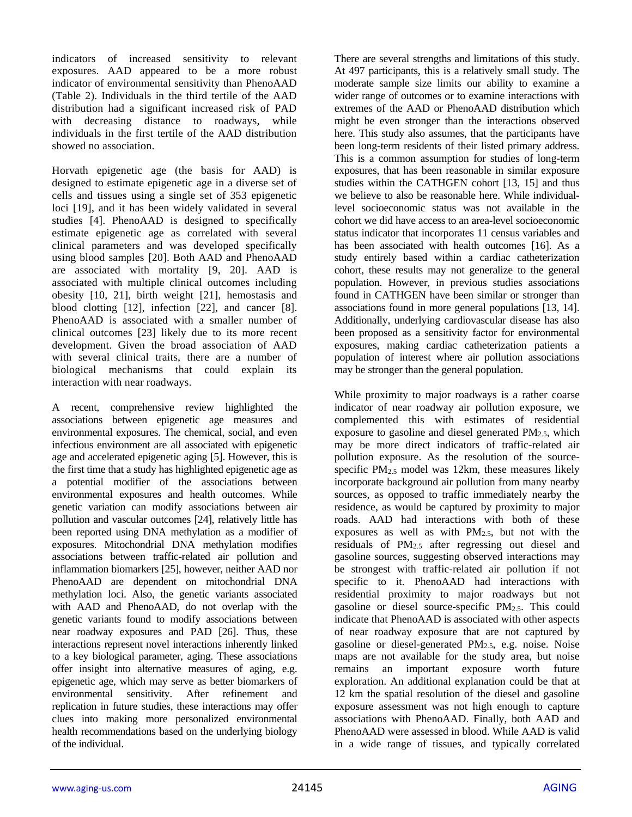indicators of increased sensitivity to relevant exposures. AAD appeared to be a more robust indicator of environmental sensitivity than PhenoAAD (Table 2). Individuals in the third tertile of the AAD distribution had a significant increased risk of PAD with decreasing distance to roadways, while individuals in the first tertile of the AAD distribution showed no association.

Horvath epigenetic age (the basis for AAD) is designed to estimate epigenetic age in a diverse set of cells and tissues using a single set of 353 epigenetic loci [19], and it has been widely validated in several studies [4]. PhenoAAD is designed to specifically estimate epigenetic age as correlated with several clinical parameters and was developed specifically using blood samples [20]. Both AAD and PhenoAAD are associated with mortality [9, 20]. AAD is associated with multiple clinical outcomes including obesity [10, 21], birth weight [21], hemostasis and blood clotting [12], infection [22], and cancer [8]. PhenoAAD is associated with a smaller number of clinical outcomes [23] likely due to its more recent development. Given the broad association of AAD with several clinical traits, there are a number of biological mechanisms that could explain its interaction with near roadways.

A recent, comprehensive review highlighted the associations between epigenetic age measures and environmental exposures. The chemical, social, and even infectious environment are all associated with epigenetic age and accelerated epigenetic aging [5]. However, this is the first time that a study has highlighted epigenetic age as a potential modifier of the associations between environmental exposures and health outcomes. While genetic variation can modify associations between air pollution and vascular outcomes [24], relatively little has been reported using DNA methylation as a modifier of exposures. Mitochondrial DNA methylation modifies associations between traffic-related air pollution and inflammation biomarkers [25], however, neither AAD nor PhenoAAD are dependent on mitochondrial DNA methylation loci. Also, the genetic variants associated with AAD and PhenoAAD, do not overlap with the genetic variants found to modify associations between near roadway exposures and PAD [26]. Thus, these interactions represent novel interactions inherently linked to a key biological parameter, aging. These associations offer insight into alternative measures of aging, e.g. epigenetic age, which may serve as better biomarkers of environmental sensitivity. After refinement and replication in future studies, these interactions may offer clues into making more personalized environmental health recommendations based on the underlying biology of the individual.

There are several strengths and limitations of this study. At 497 participants, this is a relatively small study. The moderate sample size limits our ability to examine a wider range of outcomes or to examine interactions with extremes of the AAD or PhenoAAD distribution which might be even stronger than the interactions observed here. This study also assumes, that the participants have been long-term residents of their listed primary address. This is a common assumption for studies of long-term exposures, that has been reasonable in similar exposure studies within the CATHGEN cohort [13, 15] and thus we believe to also be reasonable here. While individuallevel socioeconomic status was not available in the cohort we did have access to an area-level socioeconomic status indicator that incorporates 11 census variables and has been associated with health outcomes [16]. As a study entirely based within a cardiac catheterization cohort, these results may not generalize to the general population. However, in previous studies associations found in CATHGEN have been similar or stronger than associations found in more general populations [13, 14]. Additionally, underlying cardiovascular disease has also been proposed as a sensitivity factor for environmental exposures, making cardiac catheterization patients a population of interest where air pollution associations may be stronger than the general population.

While proximity to major roadways is a rather coarse indicator of near roadway air pollution exposure, we complemented this with estimates of residential exposure to gasoline and diesel generated  $PM_{2.5}$ , which may be more direct indicators of traffic-related air pollution exposure. As the resolution of the sourcespecific  $PM_{2.5}$  model was 12km, these measures likely incorporate background air pollution from many nearby sources, as opposed to traffic immediately nearby the residence, as would be captured by proximity to major roads. AAD had interactions with both of these exposures as well as with  $PM_{2.5}$ , but not with the residuals of PM2.5 after regressing out diesel and gasoline sources, suggesting observed interactions may be strongest with traffic-related air pollution if not specific to it. PhenoAAD had interactions with residential proximity to major roadways but not gasoline or diesel source-specific PM2.5. This could indicate that PhenoAAD is associated with other aspects of near roadway exposure that are not captured by gasoline or diesel-generated PM2.5, e.g. noise. Noise maps are not available for the study area, but noise remains an important exposure worth future exploration. An additional explanation could be that at 12 km the spatial resolution of the diesel and gasoline exposure assessment was not high enough to capture associations with PhenoAAD. Finally, both AAD and PhenoAAD were assessed in blood. While AAD is valid in a wide range of tissues, and typically correlated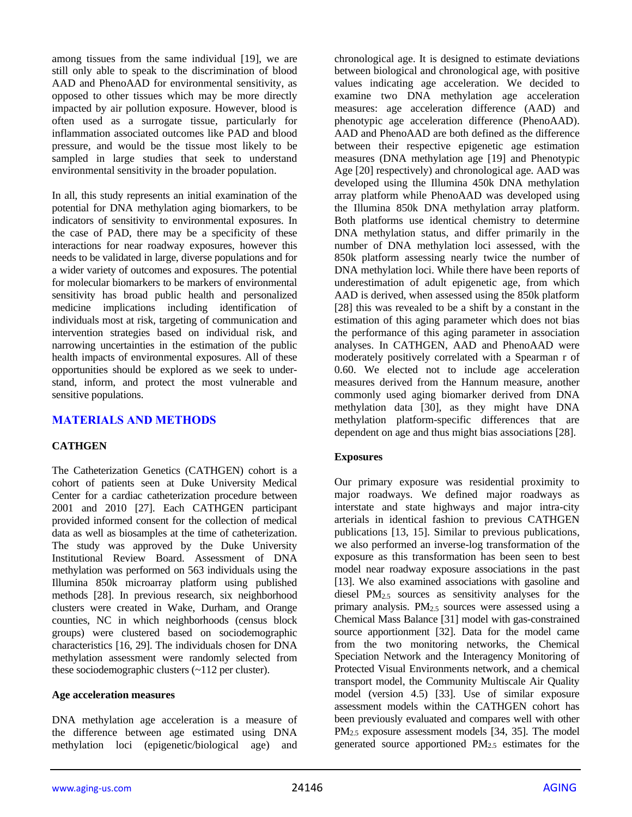among tissues from the same individual [19], we are still only able to speak to the discrimination of blood AAD and PhenoAAD for environmental sensitivity, as opposed to other tissues which may be more directly impacted by air pollution exposure. However, blood is often used as a surrogate tissue, particularly for inflammation associated outcomes like PAD and blood pressure, and would be the tissue most likely to be sampled in large studies that seek to understand environmental sensitivity in the broader population.

In all, this study represents an initial examination of the potential for DNA methylation aging biomarkers, to be indicators of sensitivity to environmental exposures. In the case of PAD, there may be a specificity of these interactions for near roadway exposures, however this needs to be validated in large, diverse populations and for a wider variety of outcomes and exposures. The potential for molecular biomarkers to be markers of environmental sensitivity has broad public health and personalized medicine implications including identification of individuals most at risk, targeting of communication and intervention strategies based on individual risk, and narrowing uncertainties in the estimation of the public health impacts of environmental exposures. All of these opportunities should be explored as we seek to understand, inform, and protect the most vulnerable and sensitive populations.

# **MATERIALS AND METHODS**

#### **CATHGEN**

The Catheterization Genetics (CATHGEN) cohort is a cohort of patients seen at Duke University Medical Center for a cardiac catheterization procedure between 2001 and 2010 [27]. Each CATHGEN participant provided informed consent for the collection of medical data as well as biosamples at the time of catheterization. The study was approved by the Duke University Institutional Review Board. Assessment of DNA methylation was performed on 563 individuals using the Illumina 850k microarray platform using published methods [28]. In previous research, six neighborhood clusters were created in Wake, Durham, and Orange counties, NC in which neighborhoods (census block groups) were clustered based on sociodemographic characteristics [16, 29]. The individuals chosen for DNA methylation assessment were randomly selected from these sociodemographic clusters (~112 per cluster).

#### **Age acceleration measures**

DNA methylation age acceleration is a measure of the difference between age estimated using DNA methylation loci (epigenetic/biological age) and chronological age. It is designed to estimate deviations between biological and chronological age, with positive values indicating age acceleration. We decided to examine two DNA methylation age acceleration measures: age acceleration difference (AAD) and phenotypic age acceleration difference (PhenoAAD). AAD and PhenoAAD are both defined as the difference between their respective epigenetic age estimation measures (DNA methylation age [19] and Phenotypic Age [20] respectively) and chronological age. AAD was developed using the Illumina 450k DNA methylation array platform while PhenoAAD was developed using the Illumina 850k DNA methylation array platform. Both platforms use identical chemistry to determine DNA methylation status, and differ primarily in the number of DNA methylation loci assessed, with the 850k platform assessing nearly twice the number of DNA methylation loci. While there have been reports of underestimation of adult epigenetic age, from which AAD is derived, when assessed using the 850k platform [28] this was revealed to be a shift by a constant in the estimation of this aging parameter which does not bias the performance of this aging parameter in association analyses. In CATHGEN, AAD and PhenoAAD were moderately positively correlated with a Spearman r of 0.60. We elected not to include age acceleration measures derived from the Hannum measure, another commonly used aging biomarker derived from DNA methylation data [30], as they might have DNA methylation platform-specific differences that are dependent on age and thus might bias associations [28].

#### **Exposures**

Our primary exposure was residential proximity to major roadways. We defined major roadways as interstate and state highways and major intra-city arterials in identical fashion to previous CATHGEN publications [13, 15]. Similar to previous publications, we also performed an inverse-log transformation of the exposure as this transformation has been seen to best model near roadway exposure associations in the past [13]. We also examined associations with gasoline and diesel PM2.5 sources as sensitivity analyses for the primary analysis.  $PM_{2.5}$  sources were assessed using a Chemical Mass Balance [31] model with gas-constrained source apportionment [32]. Data for the model came from the two monitoring networks, the Chemical Speciation Network and the Interagency Monitoring of Protected Visual Environments network, and a chemical transport model, the Community Multiscale Air Quality model (version 4.5) [33]. Use of similar exposure assessment models within the CATHGEN cohort has been previously evaluated and compares well with other PM2.5 exposure assessment models [34, 35]. The model generated source apportioned PM2.5 estimates for the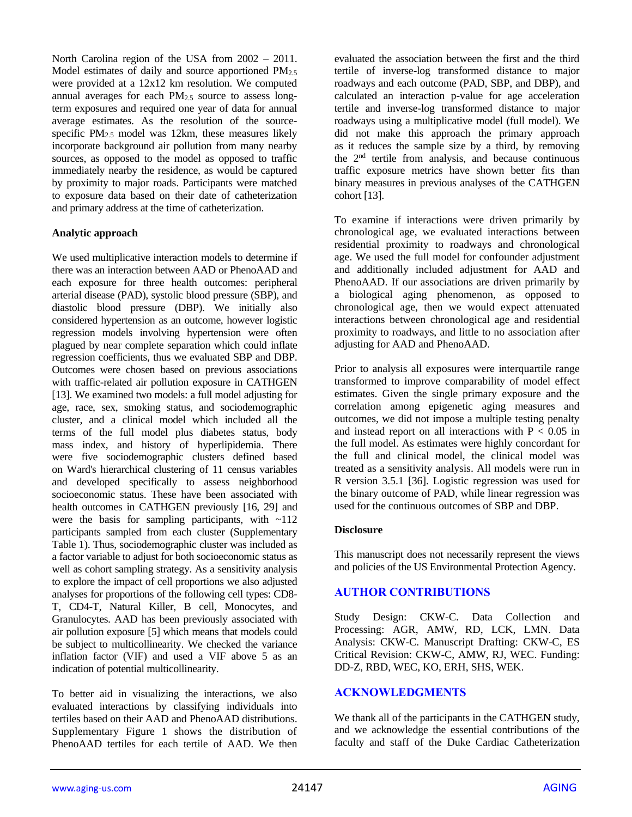North Carolina region of the USA from 2002 – 2011. Model estimates of daily and source apportioned  $PM_{2.5}$ were provided at a 12x12 km resolution. We computed annual averages for each PM<sub>2.5</sub> source to assess longterm exposures and required one year of data for annual average estimates. As the resolution of the sourcespecific  $PM_{2.5}$  model was 12km, these measures likely incorporate background air pollution from many nearby sources, as opposed to the model as opposed to traffic immediately nearby the residence, as would be captured by proximity to major roads. Participants were matched to exposure data based on their date of catheterization and primary address at the time of catheterization.

#### **Analytic approach**

We used multiplicative interaction models to determine if there was an interaction between AAD or PhenoAAD and each exposure for three health outcomes: peripheral arterial disease (PAD), systolic blood pressure (SBP), and diastolic blood pressure (DBP). We initially also considered hypertension as an outcome, however logistic regression models involving hypertension were often plagued by near complete separation which could inflate regression coefficients, thus we evaluated SBP and DBP. Outcomes were chosen based on previous associations with traffic-related air pollution exposure in CATHGEN [13]. We examined two models: a full model adjusting for age, race, sex, smoking status, and sociodemographic cluster, and a clinical model which included all the terms of the full model plus diabetes status, body mass index, and history of hyperlipidemia. There were five sociodemographic clusters defined based on Ward's hierarchical clustering of 11 census variables and developed specifically to assess neighborhood socioeconomic status. These have been associated with health outcomes in CATHGEN previously [16, 29] and were the basis for sampling participants, with  $\sim$ 112 participants sampled from each cluster (Supplementary Table 1). Thus, sociodemographic cluster was included as a factor variable to adjust for both socioeconomic status as well as cohort sampling strategy. As a sensitivity analysis to explore the impact of cell proportions we also adjusted analyses for proportions of the following cell types: CD8- T, CD4-T, Natural Killer, B cell, Monocytes, and Granulocytes. AAD has been previously associated with air pollution exposure [5] which means that models could be subject to multicollinearity. We checked the variance inflation factor (VIF) and used a VIF above 5 as an indication of potential multicollinearity.

To better aid in visualizing the interactions, we also evaluated interactions by classifying individuals into tertiles based on their AAD and PhenoAAD distributions. Supplementary Figure 1 shows the distribution of PhenoAAD tertiles for each tertile of AAD. We then evaluated the association between the first and the third tertile of inverse-log transformed distance to major roadways and each outcome (PAD, SBP, and DBP), and calculated an interaction p-value for age acceleration tertile and inverse-log transformed distance to major roadways using a multiplicative model (full model). We did not make this approach the primary approach as it reduces the sample size by a third, by removing the 2nd tertile from analysis, and because continuous traffic exposure metrics have shown better fits than binary measures in previous analyses of the CATHGEN cohort [13].

To examine if interactions were driven primarily by chronological age, we evaluated interactions between residential proximity to roadways and chronological age. We used the full model for confounder adjustment and additionally included adjustment for AAD and PhenoAAD. If our associations are driven primarily by a biological aging phenomenon, as opposed to chronological age, then we would expect attenuated interactions between chronological age and residential proximity to roadways, and little to no association after adjusting for AAD and PhenoAAD.

Prior to analysis all exposures were interquartile range transformed to improve comparability of model effect estimates. Given the single primary exposure and the correlation among epigenetic aging measures and outcomes, we did not impose a multiple testing penalty and instead report on all interactions with  $P < 0.05$  in the full model. As estimates were highly concordant for the full and clinical model, the clinical model was treated as a sensitivity analysis. All models were run in R version 3.5.1 [36]. Logistic regression was used for the binary outcome of PAD, while linear regression was used for the continuous outcomes of SBP and DBP.

# **Disclosure**

This manuscript does not necessarily represent the views and policies of the US Environmental Protection Agency.

# **AUTHOR CONTRIBUTIONS**

Study Design: CKW-C. Data Collection and Processing: AGR, AMW, RD, LCK, LMN. Data Analysis: CKW-C. Manuscript Drafting: CKW-C, ES Critical Revision: CKW-C, AMW, RJ, WEC. Funding: DD-Z, RBD, WEC, KO, ERH, SHS, WEK.

# **ACKNOWLEDGMENTS**

We thank all of the participants in the CATHGEN study, and we acknowledge the essential contributions of the faculty and staff of the Duke Cardiac Catheterization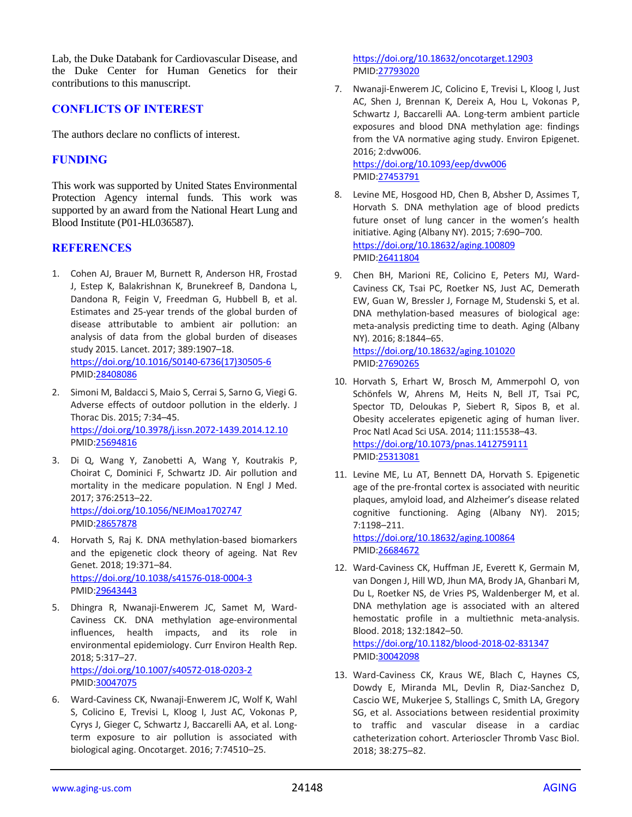Lab, the Duke Databank for Cardiovascular Disease, and the Duke Center for Human Genetics for their contributions to this manuscript.

# **CONFLICTS OF INTEREST**

The authors declare no conflicts of interest.

## **FUNDING**

This work was supported by United States Environmental Protection Agency internal funds. This work was supported by an award from the National Heart Lung and Blood Institute (P01-HL036587).

#### **REFERENCES**

- 1. Cohen AJ, Brauer M, Burnett R, Anderson HR, Frostad J, Estep K, Balakrishnan K, Brunekreef B, Dandona L, Dandona R, Feigin V, Freedman G, Hubbell B, et al. Estimates and 25-year trends of the global burden of disease attributable to ambient air pollution: an analysis of data from the global burden of diseases study 2015. Lancet. 2017; 389:1907–18. [https://doi.org/10.1016/S0140-6736\(17\)30505-6](https://doi.org/10.1016/S0140-6736(17)30505-6) PMID[:28408086](https://pubmed.ncbi.nlm.nih.gov/28408086)
- 2. Simoni M, Baldacci S, Maio S, Cerrai S, Sarno G, Viegi G. Adverse effects of outdoor pollution in the elderly. J Thorac Dis. 2015; 7:34–45. <https://doi.org/10.3978/j.issn.2072-1439.2014.12.10> PMID[:25694816](https://pubmed.ncbi.nlm.nih.gov/25694816)
- 3. Di Q, Wang Y, Zanobetti A, Wang Y, Koutrakis P, Choirat C, Dominici F, Schwartz JD. Air pollution and mortality in the medicare population. N Engl J Med. 2017; 376:2513–22. <https://doi.org/10.1056/NEJMoa1702747> PMID[:28657878](https://pubmed.ncbi.nlm.nih.gov/28657878)
- 4. Horvath S, Raj K. DNA methylation-based biomarkers and the epigenetic clock theory of ageing. Nat Rev Genet. 2018; 19:371–84. <https://doi.org/10.1038/s41576-018-0004-3> PMID[:29643443](https://pubmed.ncbi.nlm.nih.gov/29643443)
- 5. Dhingra R, Nwanaji-Enwerem JC, Samet M, Ward-Caviness CK. DNA methylation age-environmental influences, health impacts, and its role in environmental epidemiology. Curr Environ Health Rep. 2018; 5:317–27. <https://doi.org/10.1007/s40572-018-0203-2> PMID[:30047075](https://pubmed.ncbi.nlm.nih.gov/30047075)
- 6. Ward-Caviness CK, Nwanaji-Enwerem JC, Wolf K, Wahl S, Colicino E, Trevisi L, Kloog I, Just AC, Vokonas P, Cyrys J, Gieger C, Schwartz J, Baccarelli AA, et al. Longterm exposure to air pollution is associated with biological aging. Oncotarget. 2016; 7:74510–25.

<https://doi.org/10.18632/oncotarget.12903> PMI[D:27793020](https://pubmed.ncbi.nlm.nih.gov/27793020)

7. Nwanaji-Enwerem JC, Colicino E, Trevisi L, Kloog I, Just AC, Shen J, Brennan K, Dereix A, Hou L, Vokonas P, Schwartz J, Baccarelli AA. Long-term ambient particle exposures and blood DNA methylation age: findings from the VA normative aging study. Environ Epigenet. 2016; 2:dvw006.

<https://doi.org/10.1093/eep/dvw006> PMI[D:27453791](https://pubmed.ncbi.nlm.nih.gov/27453791)

- 8. Levine ME, Hosgood HD, Chen B, Absher D, Assimes T, Horvath S. DNA methylation age of blood predicts future onset of lung cancer in the women's health initiative. Aging (Albany NY). 2015; 7:690–700. <https://doi.org/10.18632/aging.100809> PMI[D:26411804](https://pubmed.ncbi.nlm.nih.gov/26411804)
- 9. Chen BH, Marioni RE, Colicino E, Peters MJ, Ward-Caviness CK, Tsai PC, Roetker NS, Just AC, Demerath EW, Guan W, Bressler J, Fornage M, Studenski S, et al. DNA methylation-based measures of biological age: meta-analysis predicting time to death. Aging (Albany NY). 2016; 8:1844–65. <https://doi.org/10.18632/aging.101020>

PMI[D:27690265](https://pubmed.ncbi.nlm.nih.gov/27690265)

- 10. Horvath S, Erhart W, Brosch M, Ammerpohl O, von Schönfels W, Ahrens M, Heits N, Bell JT, Tsai PC, Spector TD, Deloukas P, Siebert R, Sipos B, et al. Obesity accelerates epigenetic aging of human liver. Proc Natl Acad Sci USA. 2014; 111:15538–43. <https://doi.org/10.1073/pnas.1412759111> PMI[D:25313081](https://pubmed.ncbi.nlm.nih.gov/25313081)
- 11. Levine ME, Lu AT, Bennett DA, Horvath S. Epigenetic age of the pre-frontal cortex is associated with neuritic plaques, amyloid load, and Alzheimer's disease related cognitive functioning. Aging (Albany NY). 2015; 7:1198–211. <https://doi.org/10.18632/aging.100864>

PMI[D:26684672](https://pubmed.ncbi.nlm.nih.gov/26684672)

12. Ward-Caviness CK, Huffman JE, Everett K, Germain M, van Dongen J, Hill WD, Jhun MA, Brody JA, Ghanbari M, Du L, Roetker NS, de Vries PS, Waldenberger M, et al. DNA methylation age is associated with an altered hemostatic profile in a multiethnic meta-analysis. Blood. 2018; 132:1842–50. <https://doi.org/10.1182/blood-2018-02-831347>

PMI[D:30042098](https://pubmed.ncbi.nlm.nih.gov/30042098)

13. Ward-Caviness CK, Kraus WE, Blach C, Haynes CS, Dowdy E, Miranda ML, Devlin R, Diaz-Sanchez D, Cascio WE, Mukerjee S, Stallings C, Smith LA, Gregory SG, et al. Associations between residential proximity to traffic and vascular disease in a cardiac catheterization cohort. Arterioscler Thromb Vasc Biol. 2018; 38:275–82.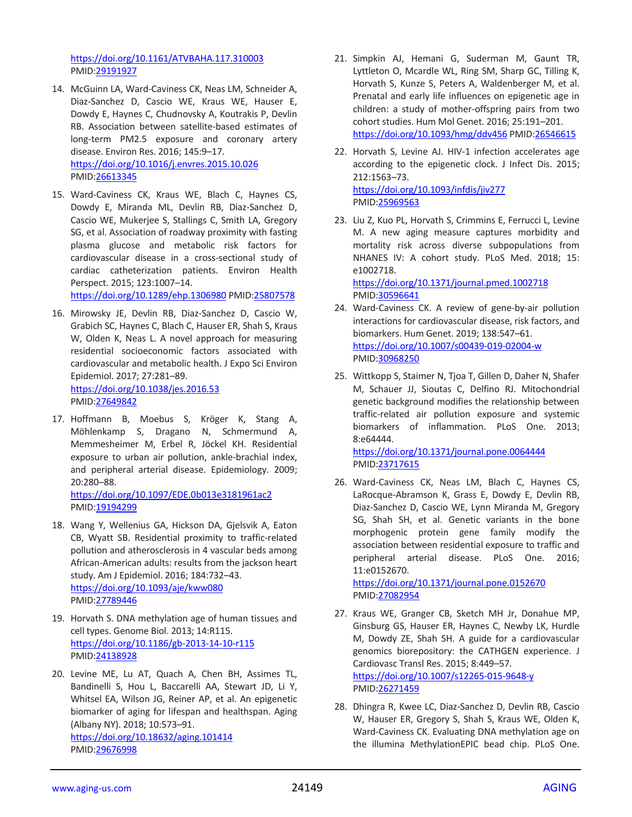<https://doi.org/10.1161/ATVBAHA.117.310003> PMID[:29191927](https://pubmed.ncbi.nlm.nih.gov/29191927)

- 14. McGuinn LA, Ward-Caviness CK, Neas LM, Schneider A, Diaz-Sanchez D, Cascio WE, Kraus WE, Hauser E, Dowdy E, Haynes C, Chudnovsky A, Koutrakis P, Devlin RB. Association between satellite-based estimates of long-term PM2.5 exposure and coronary artery disease. Environ Res. 2016; 145:9–17. <https://doi.org/10.1016/j.envres.2015.10.026> PMID[:26613345](https://pubmed.ncbi.nlm.nih.gov/26613345)
- 15. Ward-Caviness CK, Kraus WE, Blach C, Haynes CS, Dowdy E, Miranda ML, Devlin RB, Diaz-Sanchez D, Cascio WE, Mukerjee S, Stallings C, Smith LA, Gregory SG, et al. Association of roadway proximity with fasting plasma glucose and metabolic risk factors for cardiovascular disease in a cross-sectional study of cardiac catheterization patients. Environ Health Perspect. 2015; 123:1007–14.

<https://doi.org/10.1289/ehp.1306980> PMID[:25807578](https://pubmed.ncbi.nlm.nih.gov/25807578)

- 16. Mirowsky JE, Devlin RB, Diaz-Sanchez D, Cascio W, Grabich SC, Haynes C, Blach C, Hauser ER, Shah S, Kraus W, Olden K, Neas L. A novel approach for measuring residential socioeconomic factors associated with cardiovascular and metabolic health. J Expo Sci Environ Epidemiol. 2017; 27:281–89. <https://doi.org/10.1038/jes.2016.53> PMID[:27649842](https://pubmed.ncbi.nlm.nih.gov/27649842)
- 17. Hoffmann B, Moebus S, Kröger K, Stang A, Möhlenkamp S, Dragano N, Schmermund A, Memmesheimer M, Erbel R, Jöckel KH. Residential exposure to urban air pollution, ankle-brachial index, and peripheral arterial disease. Epidemiology. 2009; 20:280–88.

<https://doi.org/10.1097/EDE.0b013e3181961ac2> PMID[:19194299](https://pubmed.ncbi.nlm.nih.gov/19194299)

- 18. Wang Y, Wellenius GA, Hickson DA, Gjelsvik A, Eaton CB, Wyatt SB. Residential proximity to traffic-related pollution and atherosclerosis in 4 vascular beds among African-American adults: results from the jackson heart study. Am J Epidemiol. 2016; 184:732–43. <https://doi.org/10.1093/aje/kww080> PMID[:27789446](https://pubmed.ncbi.nlm.nih.gov/27789446)
- 19. Horvath S. DNA methylation age of human tissues and cell types. Genome Biol. 2013; 14:R115. <https://doi.org/10.1186/gb-2013-14-10-r115> PMID[:24138928](https://pubmed.ncbi.nlm.nih.gov/24138928)
- 20. Levine ME, Lu AT, Quach A, Chen BH, Assimes TL, Bandinelli S, Hou L, Baccarelli AA, Stewart JD, Li Y, Whitsel EA, Wilson JG, Reiner AP, et al. An epigenetic biomarker of aging for lifespan and healthspan. Aging (Albany NY). 2018; 10:573–91. <https://doi.org/10.18632/aging.101414> PMID[:29676998](https://pubmed.ncbi.nlm.nih.gov/29676998)
- 21. Simpkin AJ, Hemani G, Suderman M, Gaunt TR, Lyttleton O, Mcardle WL, Ring SM, Sharp GC, Tilling K, Horvath S, Kunze S, Peters A, Waldenberger M, et al. Prenatal and early life influences on epigenetic age in children: a study of mother-offspring pairs from two cohort studies. Hum Mol Genet. 2016; 25:191–201. <https://doi.org/10.1093/hmg/ddv456> PMID[:26546615](https://pubmed.ncbi.nlm.nih.gov/26546615)
- 22. Horvath S, Levine AJ. HIV-1 infection accelerates age according to the epigenetic clock. J Infect Dis. 2015; 212:1563–73. <https://doi.org/10.1093/infdis/jiv277> PMI[D:25969563](https://pubmed.ncbi.nlm.nih.gov/25969563)
- 23. Liu Z, Kuo PL, Horvath S, Crimmins E, Ferrucci L, Levine M. A new aging measure captures morbidity and mortality risk across diverse subpopulations from NHANES IV: A cohort study. PLoS Med. 2018; 15: e1002718. <https://doi.org/10.1371/journal.pmed.1002718>
- PMI[D:30596641](https://pubmed.ncbi.nlm.nih.gov/30596641) 24. Ward-Caviness CK. A review of gene-by-air pollution interactions for cardiovascular disease, risk factors, and biomarkers. Hum Genet. 2019; 138:547–61. <https://doi.org/10.1007/s00439-019-02004-w>

PMI[D:30968250](https://pubmed.ncbi.nlm.nih.gov/30968250)

25. Wittkopp S, Staimer N, Tjoa T, Gillen D, Daher N, Shafer M, Schauer JJ, Sioutas C, Delfino RJ. Mitochondrial genetic background modifies the relationship between traffic-related air pollution exposure and systemic biomarkers of inflammation. PLoS One. 2013; 8:e64444.

<https://doi.org/10.1371/journal.pone.0064444> PMI[D:23717615](https://pubmed.ncbi.nlm.nih.gov/23717615)

26. Ward-Caviness CK, Neas LM, Blach C, Haynes CS, LaRocque-Abramson K, Grass E, Dowdy E, Devlin RB, Diaz-Sanchez D, Cascio WE, Lynn Miranda M, Gregory SG, Shah SH, et al. Genetic variants in the bone morphogenic protein gene family modify the association between residential exposure to traffic and peripheral arterial disease. PLoS One. 2016; 11:e0152670.

<https://doi.org/10.1371/journal.pone.0152670> PMI[D:27082954](https://pubmed.ncbi.nlm.nih.gov/27082954)

- 27. Kraus WE, Granger CB, Sketch MH Jr, Donahue MP, Ginsburg GS, Hauser ER, Haynes C, Newby LK, Hurdle M, Dowdy ZE, Shah SH. A guide for a cardiovascular genomics biorepository: the CATHGEN experience. J Cardiovasc Transl Res. 2015; 8:449–57. <https://doi.org/10.1007/s12265-015-9648-y> PMI[D:26271459](https://pubmed.ncbi.nlm.nih.gov/26271459)
- 28. Dhingra R, Kwee LC, Diaz-Sanchez D, Devlin RB, Cascio W, Hauser ER, Gregory S, Shah S, Kraus WE, Olden K, Ward-Caviness CK. Evaluating DNA methylation age on the illumina MethylationEPIC bead chip. PLoS One.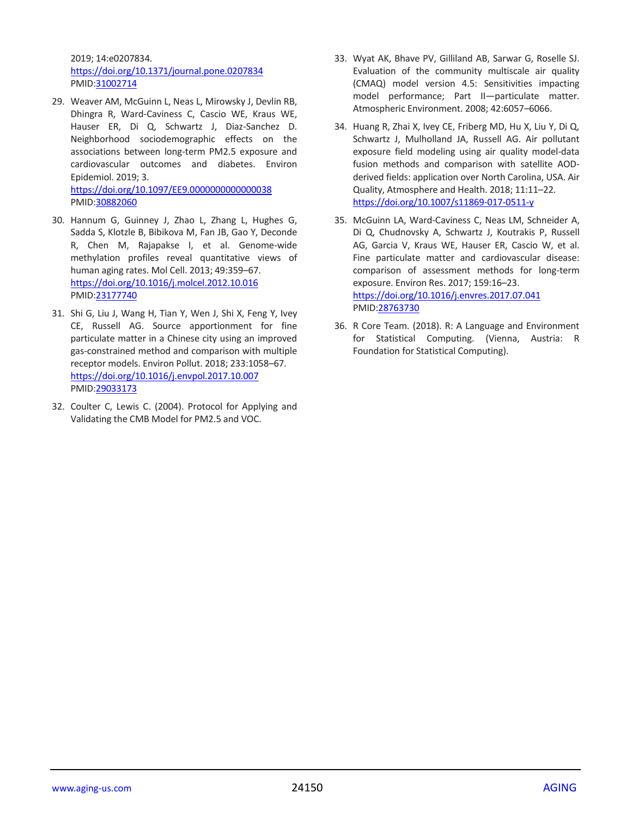2019; 14:e0207834. <https://doi.org/10.1371/journal.pone.0207834> PMID[:31002714](https://pubmed.ncbi.nlm.nih.gov/31002714)

- 29. Weaver AM, McGuinn L, Neas L, Mirowsky J, Devlin RB, Dhingra R, Ward-Caviness C, Cascio WE, Kraus WE, Hauser ER, Di Q, Schwartz J, Diaz-Sanchez D. Neighborhood sociodemographic effects on the associations between long-term PM2.5 exposure and cardiovascular outcomes and diabetes. Environ Epidemiol. 2019; 3. <https://doi.org/10.1097/EE9.0000000000000038> PMID[:30882060](https://pubmed.ncbi.nlm.nih.gov/30882060)
- 30. Hannum G, Guinney J, Zhao L, Zhang L, Hughes G, Sadda S, Klotzle B, Bibikova M, Fan JB, Gao Y, Deconde R, Chen M, Rajapakse I, et al. Genome-wide methylation profiles reveal quantitative views of human aging rates. Mol Cell. 2013; 49:359–67. <https://doi.org/10.1016/j.molcel.2012.10.016> PMID[:23177740](https://pubmed.ncbi.nlm.nih.gov/23177740)
- 31. Shi G, Liu J, Wang H, Tian Y, Wen J, Shi X, Feng Y, Ivey CE, Russell AG. Source apportionment for fine particulate matter in a Chinese city using an improved gas-constrained method and comparison with multiple receptor models. Environ Pollut. 2018; 233:1058–67. <https://doi.org/10.1016/j.envpol.2017.10.007> PMID[:29033173](https://pubmed.ncbi.nlm.nih.gov/29033173)
- 32. Coulter C, Lewis C. (2004). Protocol for Applying and Validating the CMB Model for PM2.5 and VOC.
- 33. Wyat AK, Bhave PV, Gilliland AB, Sarwar G, Roselle SJ. Evaluation of the community multiscale air quality (CMAQ) model version 4.5: Sensitivities impacting model performance; Part II—particulate matter. Atmospheric Environment. 2008; 42:6057–6066.
- 34. Huang R, Zhai X, Ivey CE, Friberg MD, Hu X, Liu Y, Di Q, Schwartz J, Mulholland JA, Russell AG. Air pollutant exposure field modeling using air quality model-data fusion methods and comparison with satellite AODderived fields: application over North Carolina, USA. Air Quality, Atmosphere and Health. 2018; 11:11–22. <https://doi.org/10.1007/s11869-017-0511-y>
- 35. McGuinn LA, Ward-Caviness C, Neas LM, Schneider A, Di Q, Chudnovsky A, Schwartz J, Koutrakis P, Russell AG, Garcia V, Kraus WE, Hauser ER, Cascio W, et al. Fine particulate matter and cardiovascular disease: comparison of assessment methods for long-term exposure. Environ Res. 2017; 159:16–23. <https://doi.org/10.1016/j.envres.2017.07.041> PMI[D:28763730](https://pubmed.ncbi.nlm.nih.gov/28763730)
- 36. R Core Team. (2018). R: A Language and Environment for Statistical Computing. (Vienna, Austria: R Foundation for Statistical Computing).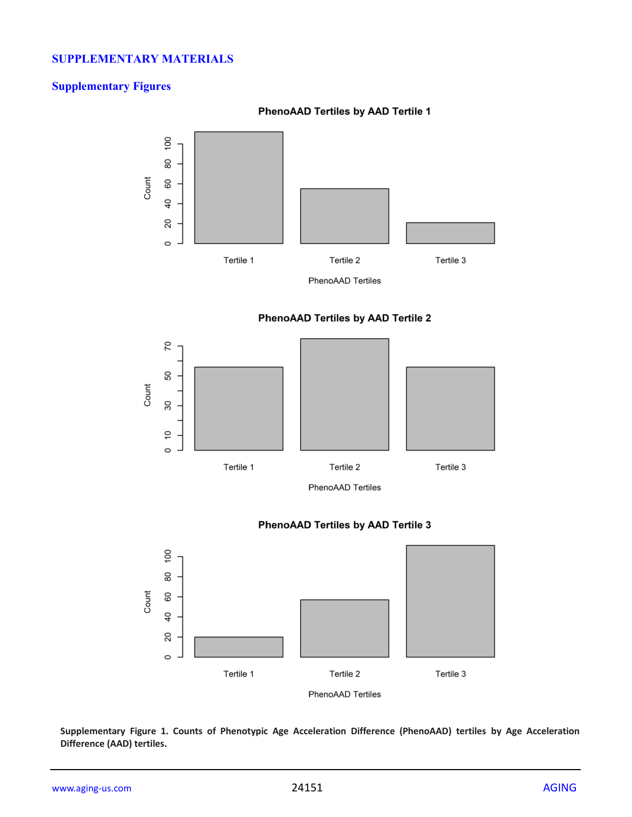# **SUPPLEMENTARY MATERIALS**

# **Supplementary Figures**

#### **PhenoAAD Tertiles by AAD Tertile 1**



PhenoAAD Tertiles





# **PhenoAAD Tertiles by AAD Tertile 3**



**Supplementary Figure 1. Counts of Phenotypic Age Acceleration Difference (PhenoAAD) tertiles by Age Acceleration Difference (AAD) tertiles.**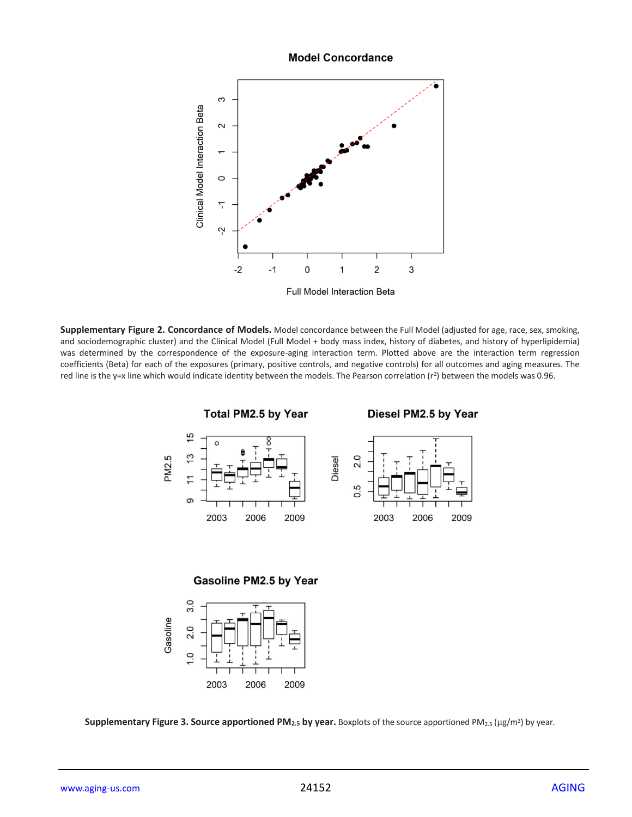#### **Model Concordance**



**Supplementary Figure 2. Concordance of Models.** Model concordance between the Full Model (adjusted for age, race, sex, smoking, and sociodemographic cluster) and the Clinical Model (Full Model + body mass index, history of diabetes, and history of hyperlipidemia) was determined by the correspondence of the exposure-aging interaction term. Plotted above are the interaction term regression coefficients (Beta) for each of the exposures (primary, positive controls, and negative controls) for all outcomes and aging measures. The red line is the y=x line which would indicate identity between the models. The Pearson correlation (r<sup>2</sup>) between the models was 0.96.



**Gasoline PM2.5 by Year** 



**Supplementary Figure 3. Source apportioned PM<sub>2.5</sub> by year. Boxplots of the source apportioned PM<sub>2.5</sub> (µg/m<sup>3</sup>) by year.**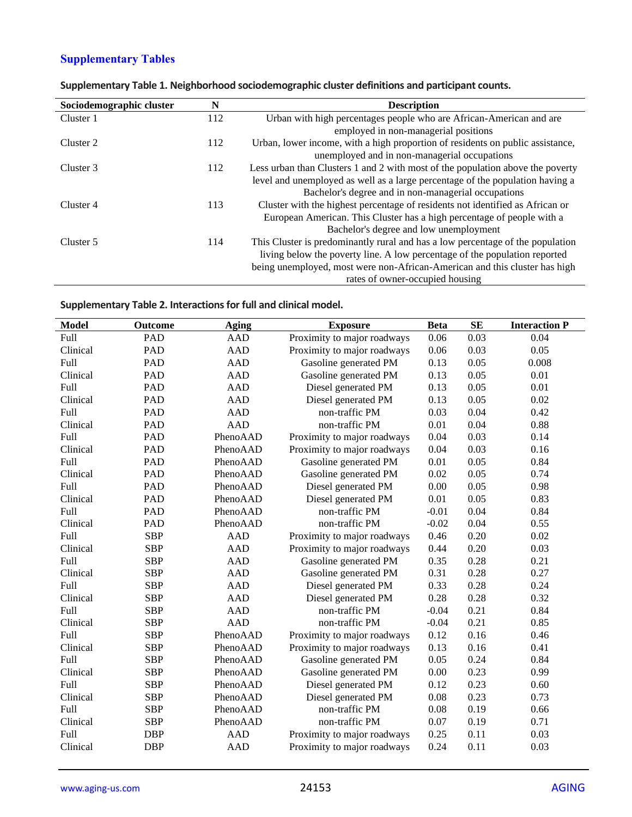# **Supplementary Tables**

| Sociodemographic cluster | N   | <b>Description</b>                                                             |
|--------------------------|-----|--------------------------------------------------------------------------------|
| Cluster 1                | 112 | Urban with high percentages people who are African-American and are            |
|                          |     | employed in non-managerial positions                                           |
| Cluster 2                | 112 | Urban, lower income, with a high proportion of residents on public assistance, |
|                          |     | unemployed and in non-managerial occupations                                   |
| Cluster 3                | 112 | Less urban than Clusters 1 and 2 with most of the population above the poverty |
|                          |     | level and unemployed as well as a large percentage of the population having a  |
|                          |     | Bachelor's degree and in non-managerial occupations                            |
| Cluster 4                | 113 | Cluster with the highest percentage of residents not identified as African or  |
|                          |     | European American. This Cluster has a high percentage of people with a         |
|                          |     | Bachelor's degree and low unemployment                                         |
| Cluster 5                | 114 | This Cluster is predominantly rural and has a low percentage of the population |
|                          |     | living below the poverty line. A low percentage of the population reported     |
|                          |     | being unemployed, most were non-African-American and this cluster has high     |
|                          |     | rates of owner-occupied housing                                                |

|  |  |  | Supplementary Table 1. Neighborhood sociodemographic cluster definitions and participant counts. |
|--|--|--|--------------------------------------------------------------------------------------------------|
|--|--|--|--------------------------------------------------------------------------------------------------|

**Supplementary Table 2. Interactions for full and clinical model.**

| <b>Model</b> | Outcome    | Aging      | <b>Exposure</b>             | <b>Beta</b> | <b>SE</b> | <b>Interaction P</b> |
|--------------|------------|------------|-----------------------------|-------------|-----------|----------------------|
| <b>Full</b>  | PAD        | <b>AAD</b> | Proximity to major roadways | 0.06        | 0.03      | 0.04                 |
| Clinical     | <b>PAD</b> | <b>AAD</b> | Proximity to major roadways | 0.06        | 0.03      | 0.05                 |
| Full         | <b>PAD</b> | <b>AAD</b> | Gasoline generated PM       | 0.13        | 0.05      | 0.008                |
| Clinical     | PAD        | <b>AAD</b> | Gasoline generated PM       | 0.13        | 0.05      | 0.01                 |
| Full         | <b>PAD</b> | <b>AAD</b> | Diesel generated PM         | 0.13        | 0.05      | 0.01                 |
| Clinical     | <b>PAD</b> | <b>AAD</b> | Diesel generated PM         | 0.13        | 0.05      | 0.02                 |
| Full         | <b>PAD</b> | <b>AAD</b> | non-traffic PM              | 0.03        | 0.04      | 0.42                 |
| Clinical     | <b>PAD</b> | <b>AAD</b> | non-traffic PM              | 0.01        | 0.04      | 0.88                 |
| Full         | PAD        | PhenoAAD   | Proximity to major roadways | 0.04        | 0.03      | 0.14                 |
| Clinical     | <b>PAD</b> | PhenoAAD   | Proximity to major roadways | 0.04        | 0.03      | 0.16                 |
| Full         | PAD        | PhenoAAD   | Gasoline generated PM       | 0.01        | 0.05      | 0.84                 |
| Clinical     | <b>PAD</b> | PhenoAAD   | Gasoline generated PM       | 0.02        | 0.05      | 0.74                 |
| Full         | <b>PAD</b> | PhenoAAD   | Diesel generated PM         | 0.00        | 0.05      | 0.98                 |
| Clinical     | <b>PAD</b> | PhenoAAD   | Diesel generated PM         | 0.01        | 0.05      | 0.83                 |
| Full         | <b>PAD</b> | PhenoAAD   | non-traffic PM              | $-0.01$     | 0.04      | 0.84                 |
| Clinical     | <b>PAD</b> | PhenoAAD   | non-traffic PM              | $-0.02$     | 0.04      | 0.55                 |
| Full         | <b>SBP</b> | <b>AAD</b> | Proximity to major roadways | 0.46        | 0.20      | 0.02                 |
| Clinical     | <b>SBP</b> | <b>AAD</b> | Proximity to major roadways | 0.44        | 0.20      | 0.03                 |
| Full         | <b>SBP</b> | <b>AAD</b> | Gasoline generated PM       | 0.35        | 0.28      | 0.21                 |
| Clinical     | <b>SBP</b> | <b>AAD</b> | Gasoline generated PM       | 0.31        | 0.28      | 0.27                 |
| Full         | <b>SBP</b> | <b>AAD</b> | Diesel generated PM         | 0.33        | 0.28      | 0.24                 |
| Clinical     | <b>SBP</b> | <b>AAD</b> | Diesel generated PM         | 0.28        | 0.28      | 0.32                 |
| Full         | <b>SBP</b> | <b>AAD</b> | non-traffic PM              | $-0.04$     | 0.21      | 0.84                 |
| Clinical     | <b>SBP</b> | <b>AAD</b> | non-traffic PM              | $-0.04$     | 0.21      | 0.85                 |
| Full         | <b>SBP</b> | PhenoAAD   | Proximity to major roadways | 0.12        | 0.16      | 0.46                 |
| Clinical     | <b>SBP</b> | PhenoAAD   | Proximity to major roadways | 0.13        | 0.16      | 0.41                 |
| Full         | <b>SBP</b> | PhenoAAD   | Gasoline generated PM       | 0.05        | 0.24      | 0.84                 |
| Clinical     | <b>SBP</b> | PhenoAAD   | Gasoline generated PM       | 0.00        | 0.23      | 0.99                 |
| Full         | <b>SBP</b> | PhenoAAD   | Diesel generated PM         | 0.12        | 0.23      | 0.60                 |
| Clinical     | <b>SBP</b> | PhenoAAD   | Diesel generated PM         | 0.08        | 0.23      | 0.73                 |
| Full         | <b>SBP</b> | PhenoAAD   | non-traffic PM              | 0.08        | 0.19      | 0.66                 |
| Clinical     | <b>SBP</b> | PhenoAAD   | non-traffic PM              | 0.07        | 0.19      | 0.71                 |
| Full         | <b>DBP</b> | <b>AAD</b> | Proximity to major roadways | 0.25        | 0.11      | 0.03                 |
| Clinical     | <b>DBP</b> | <b>AAD</b> | Proximity to major roadways | 0.24        | 0.11      | 0.03                 |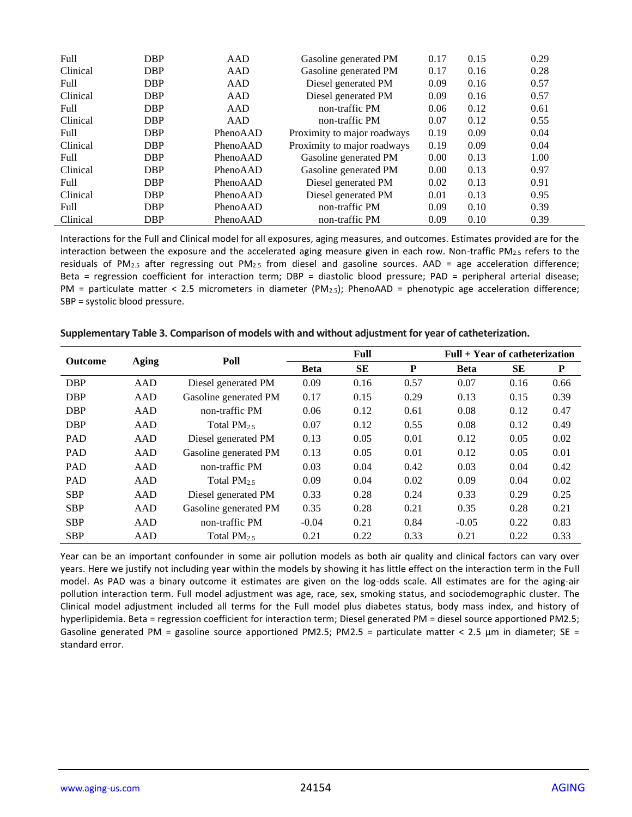| Full     | <b>DBP</b> | AAD      | Gasoline generated PM       | 0.17 | 0.15 | 0.29 |
|----------|------------|----------|-----------------------------|------|------|------|
| Clinical | <b>DBP</b> | AAD      | Gasoline generated PM       | 0.17 | 0.16 | 0.28 |
| Full     | <b>DBP</b> | AAD      | Diesel generated PM         | 0.09 | 0.16 | 0.57 |
| Clinical | <b>DBP</b> | AAD      | Diesel generated PM         | 0.09 | 0.16 | 0.57 |
| Full     | <b>DBP</b> | AAD      | non-traffic PM              | 0.06 | 0.12 | 0.61 |
| Clinical | <b>DBP</b> | AAD      | non-traffic PM              | 0.07 | 0.12 | 0.55 |
| Full     | <b>DBP</b> | PhenoAAD | Proximity to major roadways | 0.19 | 0.09 | 0.04 |
| Clinical | <b>DBP</b> | PhenoAAD | Proximity to major roadways | 0.19 | 0.09 | 0.04 |
| Full     | <b>DBP</b> | PhenoAAD | Gasoline generated PM       | 0.00 | 0.13 | 1.00 |
| Clinical | <b>DBP</b> | PhenoAAD | Gasoline generated PM       | 0.00 | 0.13 | 0.97 |
| Full     | <b>DBP</b> | PhenoAAD | Diesel generated PM         | 0.02 | 0.13 | 0.91 |
| Clinical | <b>DBP</b> | PhenoAAD | Diesel generated PM         | 0.01 | 0.13 | 0.95 |
| Full     | <b>DBP</b> | PhenoAAD | non-traffic PM              | 0.09 | 0.10 | 0.39 |
| Clinical | <b>DBP</b> | PhenoAAD | non-traffic PM              | 0.09 | 0.10 | 0.39 |

Interactions for the Full and Clinical model for all exposures, aging measures, and outcomes. Estimates provided are for the interaction between the exposure and the accelerated aging measure given in each row. Non-traffic PM2.5 refers to the residuals of PM<sub>2.5</sub> after regressing out PM<sub>2.5</sub> from diesel and gasoline sources. AAD = age acceleration difference; Beta = regression coefficient for interaction term; DBP = diastolic blood pressure; PAD = peripheral arterial disease;  $PM$  = particulate matter < 2.5 micrometers in diameter (PM<sub>2.5</sub>); PhenoAAD = phenotypic age acceleration difference; SBP = systolic blood pressure.

| <b>Outcome</b> |              | Poll                  | Full        |      |      | $Full + Year$ of catheterization |      |      |
|----------------|--------------|-----------------------|-------------|------|------|----------------------------------|------|------|
|                | <b>Aging</b> |                       | <b>Beta</b> | SЕ   | P    | <b>Beta</b>                      | SE   | P    |
| <b>DBP</b>     | AAD          | Diesel generated PM   | 0.09        | 0.16 | 0.57 | 0.07                             | 0.16 | 0.66 |
| <b>DBP</b>     | AAD          | Gasoline generated PM | 0.17        | 0.15 | 0.29 | 0.13                             | 0.15 | 0.39 |
| <b>DBP</b>     | AAD          | non-traffic PM        | 0.06        | 0.12 | 0.61 | 0.08                             | 0.12 | 0.47 |
| <b>DBP</b>     | AAD          | Total $PM_{2.5}$      | 0.07        | 0.12 | 0.55 | 0.08                             | 0.12 | 0.49 |
| <b>PAD</b>     | AAD          | Diesel generated PM   | 0.13        | 0.05 | 0.01 | 0.12                             | 0.05 | 0.02 |
| <b>PAD</b>     | AAD          | Gasoline generated PM | 0.13        | 0.05 | 0.01 | 0.12                             | 0.05 | 0.01 |
| <b>PAD</b>     | AAD          | non-traffic PM        | 0.03        | 0.04 | 0.42 | 0.03                             | 0.04 | 0.42 |
| <b>PAD</b>     | AAD          | Total $PM_{2.5}$      | 0.09        | 0.04 | 0.02 | 0.09                             | 0.04 | 0.02 |
| <b>SBP</b>     | AAD          | Diesel generated PM   | 0.33        | 0.28 | 0.24 | 0.33                             | 0.29 | 0.25 |
| <b>SBP</b>     | AAD          | Gasoline generated PM | 0.35        | 0.28 | 0.21 | 0.35                             | 0.28 | 0.21 |
| <b>SBP</b>     | AAD          | non-traffic PM        | $-0.04$     | 0.21 | 0.84 | $-0.05$                          | 0.22 | 0.83 |
| <b>SBP</b>     | AAD          | Total $PM_{2.5}$      | 0.21        | 0.22 | 0.33 | 0.21                             | 0.22 | 0.33 |

#### **Supplementary Table 3. Comparison of models with and without adjustment for year of catheterization.**

Year can be an important confounder in some air pollution models as both air quality and clinical factors can vary over years. Here we justify not including year within the models by showing it has little effect on the interaction term in the Full model. As PAD was a binary outcome it estimates are given on the log-odds scale. All estimates are for the aging-air pollution interaction term. Full model adjustment was age, race, sex, smoking status, and sociodemographic cluster. The Clinical model adjustment included all terms for the Full model plus diabetes status, body mass index, and history of hyperlipidemia. Beta = regression coefficient for interaction term; Diesel generated PM = diesel source apportioned PM2.5; Gasoline generated PM = gasoline source apportioned PM2.5; PM2.5 = particulate matter < 2.5  $\mu$ m in diameter; SE = standard error.